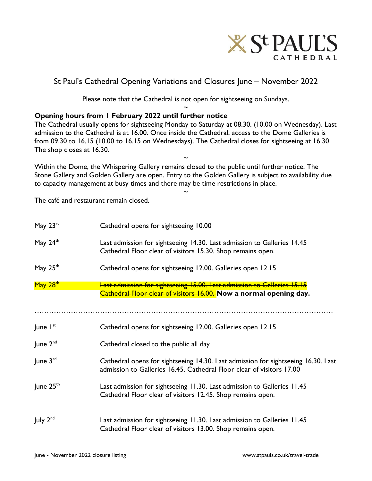

## St Paul's Cathedral Opening Variations and Closures June – November 2022

Please note that the Cathedral is not open for sightseeing on Sundays. ~

## **Opening hours from 1 February 2022 until further notice**

The Cathedral usually opens for sightseeing Monday to Saturday at 08.30. (10.00 on Wednesday). Last admission to the Cathedral is at 16.00. Once inside the Cathedral, access to the Dome Galleries is from 09.30 to 16.15 (10.00 to 16.15 on Wednesdays). The Cathedral closes for sightseeing at 16.30. The shop closes at 16.30.

~

Within the Dome, the Whispering Gallery remains closed to the public until further notice. The Stone Gallery and Golden Gallery are open. Entry to the Golden Gallery is subject to availability due to capacity management at busy times and there may be time restrictions in place.

~

The café and restaurant remain closed.

| May 23rd              | Cathedral opens for sightseeing 10.00                                                                                                                      |
|-----------------------|------------------------------------------------------------------------------------------------------------------------------------------------------------|
| May $24th$            | Last admission for sightseeing 14.30. Last admission to Galleries 14.45<br>Cathedral Floor clear of visitors 15.30. Shop remains open.                     |
| May $25th$            | Cathedral opens for sightseeing 12.00. Galleries open 12.15                                                                                                |
| May 28th              | <b>Last admission for sightseeing 15.00. Last admission to Galleries 15.15</b><br>Cathedral Floor clear of visitors 16.00. Now a normal opening day.       |
| June $I^{st}$         | Cathedral opens for sightseeing 12.00. Galleries open 12.15                                                                                                |
| June $2^{nd}$         | Cathedral closed to the public all day                                                                                                                     |
| June $3^{\text{rd}}$  | Cathedral opens for sightseeing 14.30. Last admission for sightseeing 16.30. Last<br>admission to Galleries 16.45. Cathedral Floor clear of visitors 17.00 |
| June 25 <sup>th</sup> | Last admission for sightseeing 11.30. Last admission to Galleries 11.45<br>Cathedral Floor clear of visitors 12.45. Shop remains open.                     |
| July $2^{nd}$         | Last admission for sightseeing 11.30. Last admission to Galleries 11.45<br>Cathedral Floor clear of visitors 13.00. Shop remains open.                     |